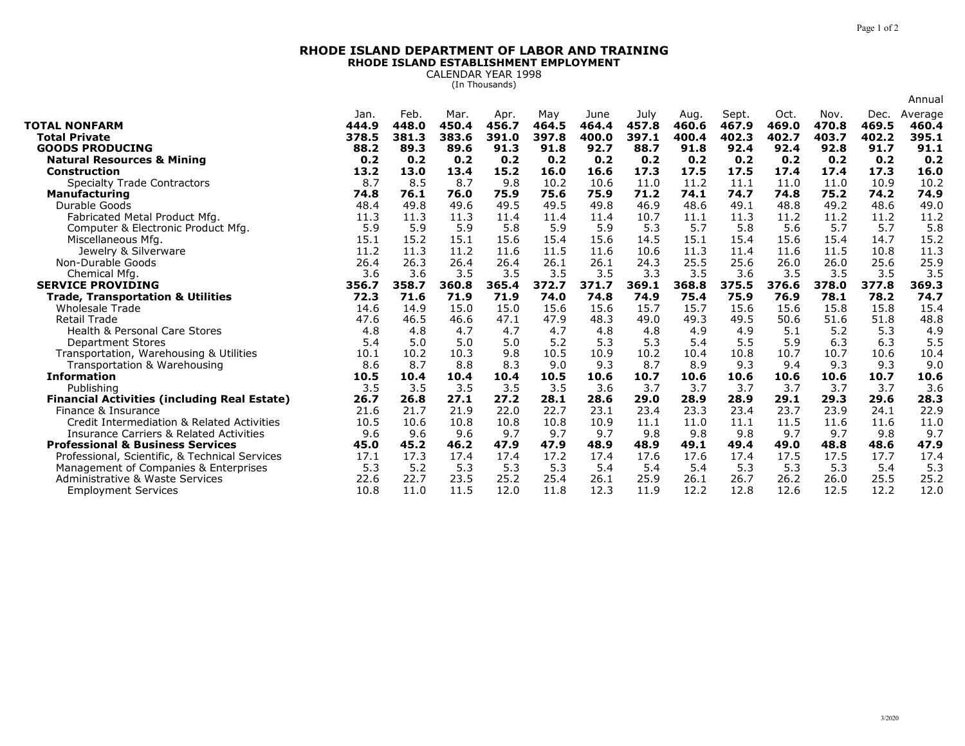## **RHODE ISLAND DEPARTMENT OF LABOR AND TRAININGRHODE ISLAND ESTABLISHMENT EMPLOYMENT**

CALENDAR YEAR 1998 (In Thousands)

|                                                            |             |             |             |             |             |             |             |             |              |             |             |             | Annual      |
|------------------------------------------------------------|-------------|-------------|-------------|-------------|-------------|-------------|-------------|-------------|--------------|-------------|-------------|-------------|-------------|
|                                                            | Jan.        | Feb.        | Mar.        | Apr.        | May         | June        | July        | Aug.        | Sept.        | Oct.        | Nov.        | Dec.        | Average     |
| <b>TOTAL NONFARM</b>                                       | 444.9       | 448.0       | 450.4       | 456.7       | 464.5       | 464.4       | 457.8       | 460.6       | 467.9        | 469.0       | 470.8       | 469.5       | 460.4       |
| <b>Total Private</b>                                       | 378.5       | 381.3       | 383.6       | 391.0       | 397.8       | 400.0       | 397.1       | 400.4       | 402.3        | 402.7       | 403.7       | 402.2       | 395.1       |
| <b>GOODS PRODUCING</b>                                     | 88.2        | 89.3        | 89.6        | 91.3        | 91.8        | 92.7        | 88.7        | 91.8        | 92.4         | 92.4        | 92.8        | 91.7        | 91.1        |
| <b>Natural Resources &amp; Mining</b><br>Construction      | 0.2<br>13.2 | 0.2<br>13.0 | 0.2<br>13.4 | 0.2<br>15.2 | 0.2<br>16.0 | 0.2<br>16.6 | 0.2<br>17.3 | 0.2<br>17.5 | 0.2<br>17.5  | 0.2<br>17.4 | 0.2<br>17.4 | 0.2<br>17.3 | 0.2<br>16.0 |
|                                                            | 8.7         | 8.5         | 8.7         | 9.8         | 10.2        | 10.6        | 11.0        | 11.2        |              | 11.0        | 11.0        | 10.9        | 10.2        |
| <b>Specialty Trade Contractors</b><br><b>Manufacturing</b> | 74.8        | 76.1        | 76.0        | 75.9        | 75.6        | 75.9        | 71.2        | 74.1        | 11.1<br>74.7 | 74.8        | 75.2        | 74.2        | 74.9        |
| Durable Goods                                              | 48.4        | 49.8        | 49.6        | 49.5        | 49.5        | 49.8        | 46.9        | 48.6        | 49.1         | 48.8        | 49.2        | 48.6        | 49.0        |
| Fabricated Metal Product Mfg.                              | 11.3        | 11.3        | 11.3        | 11.4        | 11.4        | 11.4        | 10.7        | 11.1        | 11.3         | 11.2        | 11.2        | 11.2        | 11.2        |
| Computer & Electronic Product Mfg.                         | 5.9         | 5.9         | 5.9         | 5.8         | 5.9         | 5.9         | 5.3         | 5.7         | 5.8          | 5.6         | 5.7         | 5.7         | 5.8         |
| Miscellaneous Mfg.                                         | 15.1        | 15.2        | 15.1        | 15.6        | 15.4        | 15.6        | 14.5        | 15.1        | 15.4         | 15.6        | 15.4        | 14.7        | 15.2        |
| Jewelry & Silverware                                       | 11.2        | 11.3        | 11.2        | 11.6        | 11.5        | 11.6        | 10.6        | 11.3        | 11.4         | 11.6        | 11.5        | 10.8        | 11.3        |
| Non-Durable Goods                                          | 26.4        | 26.3        | 26.4        | 26.4        | 26.1        | 26.1        | 24.3        | 25.5        | 25.6         | 26.0        | 26.0        | 25.6        | 25.9        |
| Chemical Mfg.                                              | 3.6         | 3.6         | 3.5         | 3.5         | 3.5         | 3.5         | 3.3         | 3.5         | 3.6          | 3.5         | 3.5         | 3.5         | 3.5         |
| <b>SERVICE PROVIDING</b>                                   | 356.7       | 358.7       | 360.8       | 365.4       | 372.7       | 371.7       | 369.1       | 368.8       | 375.5        | 376.6       | 378.0       | 377.8       | 369.3       |
| <b>Trade, Transportation &amp; Utilities</b>               | 72.3        | 71.6        | 71.9        | 71.9        | 74.0        | 74.8        | 74.9        | 75.4        | 75.9         | 76.9        | 78.1        | 78.2        | 74.7        |
| <b>Wholesale Trade</b>                                     | 14.6        | 14.9        | 15.0        | 15.0        | 15.6        | 15.6        | 15.7        | 15.7        | 15.6         | 15.6        | 15.8        | 15.8        | 15.4        |
| <b>Retail Trade</b>                                        | 47.6        | 46.5        | 46.6        | 47.1        | 47.9        | 48.3        | 49.0        | 49.3        | 49.5         | 50.6        | 51.6        | 51.8        | 48.8        |
| Health & Personal Care Stores                              | 4.8         | 4.8         | 4.7         | 4.7         | 4.7         | 4.8         | 4.8         | 4.9         | 4.9          | 5.1         | 5.2         | 5.3         | 4.9         |
| <b>Department Stores</b>                                   | 5.4         | 5.0         | 5.0         | 5.0         | 5.2         | 5.3         | 5.3         | 5.4         | 5.5          | 5.9         | 6.3         | 6.3         | 5.5         |
| Transportation, Warehousing & Utilities                    | 10.1        | 10.2        | 10.3        | 9.8         | 10.5        | 10.9        | 10.2        | 10.4        | 10.8         | 10.7        | 10.7        | 10.6        | 10.4        |
| Transportation & Warehousing                               | 8.6         | 8.7         | 8.8         | 8.3         | 9.0         | 9.3         | 8.7         | 8.9         | 9.3          | 9.4         | 9.3         | 9.3         | 9.0         |
| <b>Information</b>                                         | 10.5        | 10.4        | 10.4        | 10.4        | 10.5        | 10.6        | 10.7        | 10.6        | 10.6         | 10.6        | 10.6        | 10.7        | 10.6        |
| Publishing                                                 | 3.5         | 3.5         | 3.5         | 3.5         | 3.5         | 3.6         | 3.7         | 3.7         | 3.7          | 3.7         | 3.7         | 3.7         | 3.6         |
| <b>Financial Activities (including Real Estate)</b>        | 26.7        | 26.8        | 27.1        | 27.2        | 28.1        | 28.6        | 29.0        | 28.9        | 28.9         | 29.1        | 29.3        | 29.6        | 28.3        |
| Finance & Insurance                                        | 21.6        | 21.7        | 21.9        | 22.0        | 22.7        | 23.1        | 23.4        | 23.3        | 23.4         | 23.7        | 23.9        | 24.1        | 22.9        |
| Credit Intermediation & Related Activities                 | 10.5        | 10.6        | 10.8        | 10.8        | 10.8        | 10.9        | 11.1        | 11.0        | 11.1         | 11.5        | 11.6        | 11.6        | 11.0        |
| <b>Insurance Carriers &amp; Related Activities</b>         | 9.6         | 9.6         | 9.6         | 9.7         | 9.7         | 9.7         | 9.8         | 9.8         | 9.8          | 9.7         | 9.7         | 9.8         | 9.7         |
| <b>Professional &amp; Business Services</b>                | 45.0        | 45.2        | 46.2        | 47.9        | 47.9        | 48.9        | 48.9        | 49.1        | 49.4         | 49.0        | 48.8        | 48.6        | 47.9        |
| Professional, Scientific, & Technical Services             | 17.1        | 17.3        | 17.4        | 17.4        | 17.2        | 17.4        | 17.6        | 17.6        | 17.4         | 17.5        | 17.5        | 17.7        | 17.4        |
| Management of Companies & Enterprises                      | 5.3         | 5.2         | 5.3         | 5.3         | 5.3         | 5.4         | 5.4         | 5.4         | 5.3          | 5.3         | 5.3         | 5.4         | 5.3         |
| Administrative & Waste Services                            | 22.6        | 22.7        | 23.5        | 25.2        | 25.4        | 26.1        | 25.9        | 26.1        | 26.7         | 26.2        | 26.0        | 25.5        | 25.2        |
| <b>Employment Services</b>                                 | 10.8        | 11.0        | 11.5        | 12.0        | 11.8        | 12.3        | 11.9        | 12.2        | 12.8         | 12.6        | 12.5        | 12.2        | 12.0        |